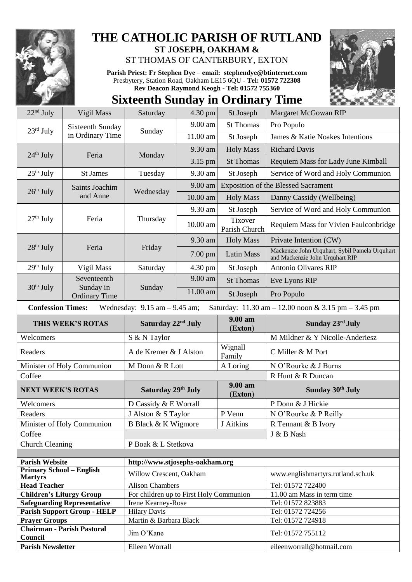

## **THE CATHOLIC PARISH OF RUTLAND ST JOSEPH, OAKHAM &**

ST THOMAS OF CANTERBURY, EXTON

**Parish Priest: Fr Stephen Dye** – **[email: stephendye@btinternet.com](mailto:email:%20%20stephendye@btinternet.com)** Presbytery, Station Road, Oakham LE15 6QU - **Tel: 01572 722308 Rev Deacon Raymond Keogh - Tel: 01572 755360**



## **Sixteenth Sunday in Ordinary Time**

| $22nd$ July                                                                                                          | Vigil Mass                                       | Saturday                                | 4.30 pm  | St Joseph                | Margaret McGowan RIP                                                              |
|----------------------------------------------------------------------------------------------------------------------|--------------------------------------------------|-----------------------------------------|----------|--------------------------|-----------------------------------------------------------------------------------|
| $23rd$ July                                                                                                          | Sixteenth Sunday<br>in Ordinary Time             | Sunday                                  | 9.00 am  | <b>St Thomas</b>         | Pro Populo                                                                        |
|                                                                                                                      |                                                  |                                         | 11.00 am | St Joseph                | James & Katie Noakes Intentions                                                   |
|                                                                                                                      | Feria                                            | Monday                                  | 9.30 am  | <b>Holy Mass</b>         | <b>Richard Davis</b>                                                              |
| $24th$ July                                                                                                          |                                                  |                                         | 3.15 pm  | <b>St Thomas</b>         | Requiem Mass for Lady June Kimball                                                |
| $25th$ July                                                                                                          | <b>St James</b>                                  | Tuesday                                 | 9.30 am  | St Joseph                | Service of Word and Holy Communion                                                |
| $26th$ July                                                                                                          | Saints Joachim<br>and Anne                       | Wednesday                               | 9.00 am  |                          | <b>Exposition of the Blessed Sacrament</b>                                        |
|                                                                                                                      |                                                  |                                         | 10.00 am | <b>Holy Mass</b>         | Danny Cassidy (Wellbeing)                                                         |
| $27th$ July                                                                                                          | Feria                                            | Thursday                                | 9.30 am  | St Joseph                | Service of Word and Holy Communion                                                |
|                                                                                                                      |                                                  |                                         | 10.00 am | Tixover<br>Parish Church | Requiem Mass for Vivien Faulconbridge                                             |
|                                                                                                                      | Feria                                            | Friday                                  | 9.30 am  | <b>Holy Mass</b>         | Private Intention (CW)                                                            |
| $28th$ July                                                                                                          |                                                  |                                         | 7.00 pm  | <b>Latin Mass</b>        | Mackenzie John Urquhart, Sybil Pamela Urquhart<br>and Mackenzie John Urquhart RIP |
| $29th$ July                                                                                                          | Vigil Mass                                       | Saturday                                | 4.30 pm  | St Joseph                | <b>Antonio Olivares RIP</b>                                                       |
|                                                                                                                      | Seventeenth<br>Sunday in<br><b>Ordinary Time</b> | Sunday                                  | 9.00 am  | <b>St Thomas</b>         | Eve Lyons RIP                                                                     |
| $30th$ July                                                                                                          |                                                  |                                         | 11.00 am | St Joseph                | Pro Populo                                                                        |
| <b>Confession Times:</b><br>Wednesday: $9.15$ am $- 9.45$ am;<br>Saturday: 11.30 am - 12.00 noon & 3.15 pm - 3.45 pm |                                                  |                                         |          |                          |                                                                                   |
| THIS WEEK'S ROTAS                                                                                                    |                                                  | Saturday 22 <sup>nd</sup> July          |          | 9.00 am<br>(Exton)       | Sunday 23rd July                                                                  |
| Welcomers                                                                                                            |                                                  | S & N Taylor                            |          |                          |                                                                                   |
|                                                                                                                      |                                                  |                                         |          |                          | M Mildner & Y Nicolle-Anderiesz                                                   |
| Readers                                                                                                              |                                                  | A de Kremer & J Alston                  |          | Wignall<br>Family        | C Miller & M Port                                                                 |
|                                                                                                                      | Minister of Holy Communion                       | M Donn & R Lott                         |          | A Loring                 | N O'Rourke & J Burns                                                              |
| Coffee                                                                                                               |                                                  |                                         |          |                          | R Hunt & R Duncan                                                                 |
| <b>NEXT WEEK'S ROTAS</b>                                                                                             |                                                  | Saturday 29th July                      |          | 9.00 am<br>(Exton)       | Sunday 30th July                                                                  |
| Welcomers                                                                                                            |                                                  | D Cassidy & E Worrall                   |          |                          | P Donn & J Hickie                                                                 |
| Readers                                                                                                              |                                                  | J Alston & S Taylor                     |          | P Venn                   | N O'Rourke & P Reilly                                                             |
|                                                                                                                      | Minister of Holy Communion                       | B Black & K Wigmore                     |          | J Aitkins                | R Tennant & B Ivory                                                               |
| Coffee                                                                                                               |                                                  |                                         |          |                          | J & B Nash                                                                        |
| <b>Church Cleaning</b>                                                                                               |                                                  | P Boak & L Stetkova                     |          |                          |                                                                                   |
|                                                                                                                      |                                                  |                                         |          |                          |                                                                                   |
| <b>Parish Website</b>                                                                                                |                                                  | http://www.stjosephs-oakham.org         |          |                          |                                                                                   |
| <b>Primary School - English</b><br><b>Martyrs</b>                                                                    |                                                  | Willow Crescent, Oakham                 |          |                          | www.englishmartyrs.rutland.sch.uk                                                 |
| <b>Head Teacher</b>                                                                                                  |                                                  | <b>Alison Chambers</b>                  |          |                          | Tel: 01572 722400                                                                 |
| <b>Children's Liturgy Group</b>                                                                                      |                                                  | For children up to First Holy Communion |          |                          | 11.00 am Mass in term time                                                        |
|                                                                                                                      | <b>Safeguarding Representative</b>               | Irene Kearney-Rose                      |          |                          | Tel: 01572 823883                                                                 |
|                                                                                                                      | <b>Parish Support Group - HELP</b>               | <b>Hilary Davis</b>                     |          |                          | Tel: 01572 724256                                                                 |
| <b>Prayer Groups</b><br>Council                                                                                      | <b>Chairman - Parish Pastoral</b>                | Martin & Barbara Black<br>Jim O'Kane    |          |                          | Tel: 01572 724918<br>Tel: 01572 755112                                            |